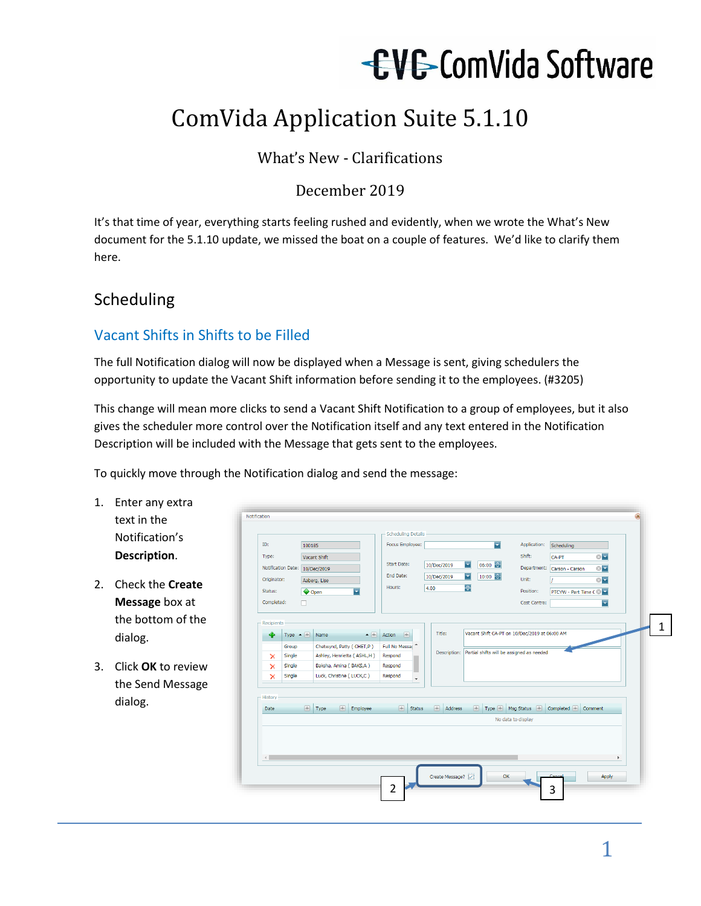# EVE ComVida Software

## ComVida Application Suite 5.1.10

#### What's New - Clarifications

#### December 2019

It's that time of year, everything starts feeling rushed and evidently, when we wrote the What's New document for the 5.1.10 update, we missed the boat on a couple of features. We'd like to clarify them here.

### Scheduling

#### Vacant Shifts in Shifts to be Filled

The full Notification dialog will now be displayed when a Message is sent, giving schedulers the opportunity to update the Vacant Shift information before sending it to the employees. (#3205)

This change will mean more clicks to send a Vacant Shift Notification to a group of employees, but it also gives the scheduler more control over the Notification itself and any text entered in the Notification Description will be included with the Message that gets sent to the employees.

To quickly move through the Notification dialog and send the message:

- 1. Enter any ex text in the Notification' **Description**.
- 2. Check the Cr **Message** box the bottom dialog.
- 3. Click OK to r the Send Me dialog.

|                          |                                     |                                |                                                    |                                                        | - Scheduling Details                            |                                   |             |                                    |   |                      |                                                        |                         |                  |
|--------------------------|-------------------------------------|--------------------------------|----------------------------------------------------|--------------------------------------------------------|-------------------------------------------------|-----------------------------------|-------------|------------------------------------|---|----------------------|--------------------------------------------------------|-------------------------|------------------|
| ID:                      |                                     | 100185                         |                                                    |                                                        | Focus Employee:                                 |                                   |             |                                    |   | न                    |                                                        | Application: Scheduling |                  |
| Type:                    |                                     | Vacant Shift                   |                                                    |                                                        |                                                 |                                   |             |                                    |   |                      | Shift:                                                 | CA-PT                   | $\otimes \nabla$ |
|                          |                                     | Notification Date: 10/Dec/2019 |                                                    |                                                        | Start Date:                                     |                                   | 10/Dec/2019 |                                    | ਤ | 06:00 ~              | Department:                                            | Carson - Carson         | $\otimes \nabla$ |
| Originator:              |                                     | Aaberg, Lise                   |                                                    |                                                        | End Date:                                       |                                   | 10/Dec/2019 |                                    | ≂ | $10:00$ $\leftarrow$ | Unit:                                                  |                         | $\otimes$        |
| Status:                  |                                     | Open                           |                                                    | ≂                                                      | Hours:                                          |                                   | 4.00        |                                    | 위 |                      | Position:                                              | PTCYW - Part Time C &   |                  |
| Completed:               |                                     | o                              |                                                    |                                                        |                                                 |                                   |             |                                    |   |                      | Cost Centre:                                           |                         | $\blacksquare$   |
| ×<br>×<br>×<br>- History | Group<br>Single<br>Single<br>Single |                                | Baksha, Amina (BAKS,A)<br>Luck, Christine (LUCK,C) | Chetwynd, Patty (CHET,P)<br>Ashley, Henrietta (ASHL,H) | Full No Messac<br>Respond<br>Respond<br>Respond |                                   |             |                                    |   |                      | Description: Partial shifts will be assigned as needed |                         |                  |
| Date                     |                                     | $\boxed{+}$ Type               |                                                    | Employee                                               |                                                 | $\left \frac{1}{2}\right $ Status |             | $\left \frac{1}{2}\right $ Address |   |                      | Type M Msg Status 4 Completed 4 Comment                |                         |                  |
|                          |                                     |                                |                                                    |                                                        |                                                 |                                   |             |                                    |   |                      | No data to display                                     |                         |                  |
|                          |                                     |                                |                                                    |                                                        |                                                 |                                   |             |                                    |   |                      | OK                                                     |                         | Apply            |